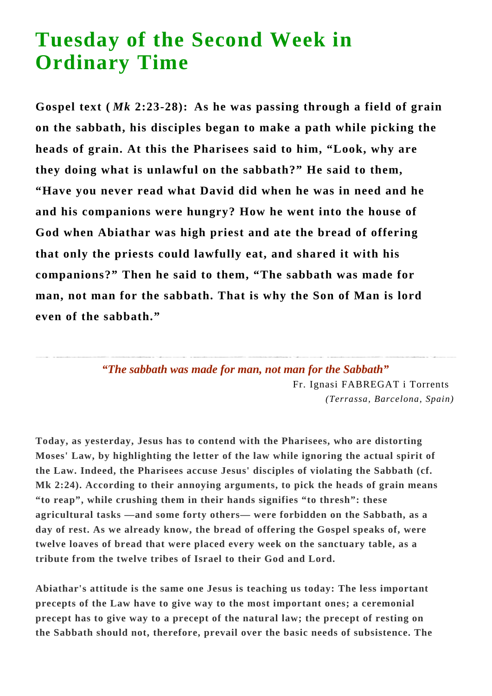## **Tuesday of the Second Week in Ordinary Time**

**Gospel text (** *Mk* **2:23-28): As he was passing through a field of grain on the sabbath, his disciples began to make a path while picking the heads of grain. At this the Pharisees said to him, "Look, why are they doing what is unlawful on the sabbath?" He said to them, "Have you never read what David did when he was in need and he and his companions were hungry? How he went into the house of God when Abiathar was high priest and ate the bread of offering that only the priests could lawfully eat, and shared it with his companions?" Then he said to them, "The sabbath was made for man, not man for the sabbath. That is why the Son of Man is lord even of the sabbath."**

> *"The sabbath was made for man, not man for the Sabbath"* Fr. Ignasi FABREGAT i Torrents *(Terrassa, Barcelona, Spain)*

**Today, as yesterday, Jesus has to contend with the Pharisees, who are distorting Moses' Law, by highlighting the letter of the law while ignoring the actual spirit of the Law. Indeed, the Pharisees accuse Jesus' disciples of violating the Sabbath (cf. Mk 2:24). According to their annoying arguments, to pick the heads of grain means "to reap", while crushing them in their hands signifies "to thresh": these agricultural tasks —and some forty others— were forbidden on the Sabbath, as a day of rest. As we already know, the bread of offering the Gospel speaks of, were twelve loaves of bread that were placed every week on the sanctuary table, as a tribute from the twelve tribes of Israel to their God and Lord.**

**Abiathar's attitude is the same one Jesus is teaching us today: The less important precepts of the Law have to give way to the most important ones; a ceremonial precept has to give way to a precept of the natural law; the precept of resting on the Sabbath should not, therefore, prevail over the basic needs of subsistence. The**